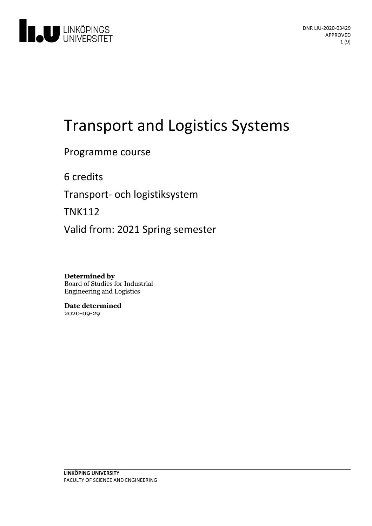

# Transport and Logistics Systems

Programme course

6 credits

Transport- och logistiksystem

TNK112

Valid from: 2021 Spring semester

**Determined by** Board of Studies for Industrial Engineering and Logistics

**Date determined** 2020-09-29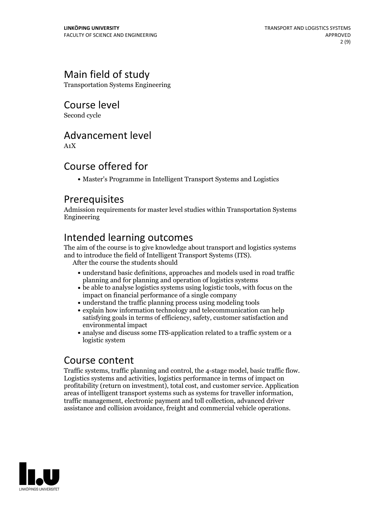# Main field of study

Transportation Systems Engineering

Course level

Second cycle

## Advancement level

A1X

# Course offered for

Master's Programme in Intelligent Transport Systems and Logistics

### Prerequisites

Admission requirements for master level studies within Transportation Systems Engineering

# Intended learning outcomes

The aim of the course is to give knowledge about transport and logistics systems and to introduce the field of Intelligent Transport Systems (ITS). After the course the students should

- understand basic definitions, approaches and models used in road traffic planning and for planning and operation of logistics systems
- be able to analyse logistics systems using logistic tools, with focus on the impact on financial performance of a single company
- understand the traffic planning process using modeling tools
- explain how information technology and telecommunication can help satisfying goals in terms of efficiency, safety, customer satisfaction and environmental impact
- analyse and discuss some ITS-application related to a traffic system or a logistic system

### Course content

Traffic systems, traffic planning and control, the 4-stage model, basic traffic flow. Logistics systems and activities, logistics performance in terms of impact on profitability (return on investment), total cost, and customer service. Application traffic management, electronic payment and toll collection, advanced driver assistance and collision avoidance, freight and commercial vehicle operations.

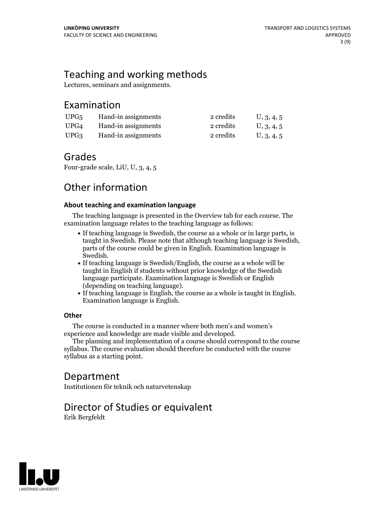# Teaching and working methods

Lectures, seminars and assignments.

### Examination

| UPG <sub>5</sub> | Hand-in assignments | 2 credits | U, 3, 4, 5 |
|------------------|---------------------|-----------|------------|
| UPG4             | Hand-in assignments | 2 credits | U, 3, 4, 5 |
| UPG3             | Hand-in assignments | 2 credits | U, 3, 4, 5 |

### Grades

Four-grade scale, LiU, U, 3, 4, 5

# Other information

### **About teaching and examination language**

The teaching language is presented in the Overview tab for each course. The examination language relates to the teaching language as follows:

- If teaching language is Swedish, the course as a whole or in large parts, is taught in Swedish. Please note that although teaching language is Swedish, parts of the course could be given in English. Examination language is Swedish.<br>• If teaching language is Swedish/English, the course as a whole will be
- taught in English if students without prior knowledge of the Swedish language participate. Examination language is Swedish or English
- (depending on teaching language).<br>• If teaching language is English, the course as a whole is taught in English.<br>Examination language is English.

### **Other**

The course is conducted in a manner where both men's and women's

The planning and implementation of a course should correspond to the course syllabus. The course evaluation should therefore be conducted with the course syllabus as a starting point.

## Department

Institutionen för teknik och naturvetenskap

# Director of Studies or equivalent

Erik Bergfeldt

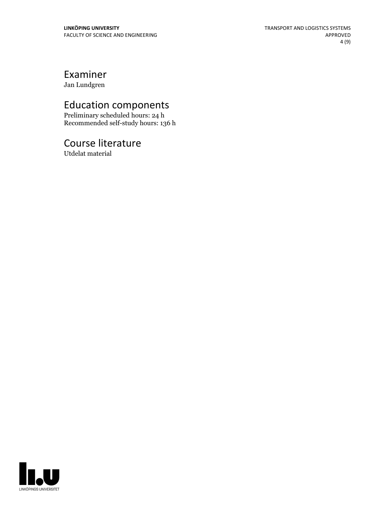# Examiner

Jan Lundgren

# Education components

Preliminary scheduled hours: 24 h Recommended self-study hours: 136 h

# Course literature

Utdelat material

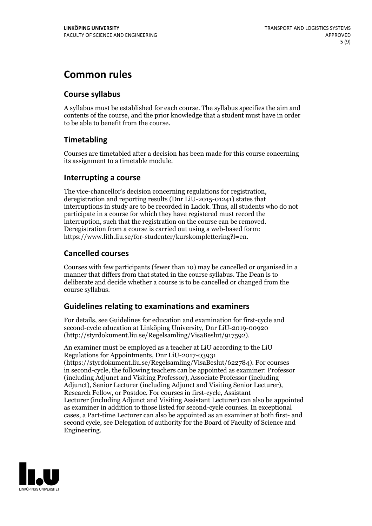# **Common rules**

### **Course syllabus**

A syllabus must be established for each course. The syllabus specifies the aim and contents of the course, and the prior knowledge that a student must have in order to be able to benefit from the course.

### **Timetabling**

Courses are timetabled after a decision has been made for this course concerning its assignment to a timetable module.

### **Interrupting a course**

The vice-chancellor's decision concerning regulations for registration, deregistration and reporting results (Dnr LiU-2015-01241) states that interruptions in study are to be recorded in Ladok. Thus, all students who do not participate in a course for which they have registered must record the interruption, such that the registration on the course can be removed. Deregistration from <sup>a</sup> course is carried outusing <sup>a</sup> web-based form: https://www.lith.liu.se/for-studenter/kurskomplettering?l=en.

### **Cancelled courses**

Courses with few participants (fewer than 10) may be cancelled or organised in a manner that differs from that stated in the course syllabus. The Dean is to deliberate and decide whether a course is to be cancelled or changed from the course syllabus.

### **Guidelines relatingto examinations and examiners**

For details, see Guidelines for education and examination for first-cycle and second-cycle education at Linköping University, Dnr LiU-2019-00920 (http://styrdokument.liu.se/Regelsamling/VisaBeslut/917592).

An examiner must be employed as a teacher at LiU according to the LiU Regulations for Appointments, Dnr LiU-2017-03931 (https://styrdokument.liu.se/Regelsamling/VisaBeslut/622784). For courses in second-cycle, the following teachers can be appointed as examiner: Professor (including Adjunct and Visiting Professor), Associate Professor (including Adjunct), Senior Lecturer (including Adjunct and Visiting Senior Lecturer), Research Fellow, or Postdoc. For courses in first-cycle, Assistant Lecturer (including Adjunct and Visiting Assistant Lecturer) can also be appointed as examiner in addition to those listed for second-cycle courses. In exceptional cases, a Part-time Lecturer can also be appointed as an examiner at both first- and second cycle, see Delegation of authority for the Board of Faculty of Science and Engineering.

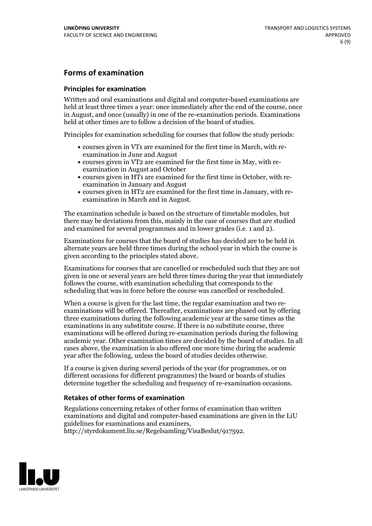### **Forms of examination**

#### **Principles for examination**

Written and oral examinations and digital and computer-based examinations are held at least three times a year: once immediately after the end of the course, once in August, and once (usually) in one of the re-examination periods. Examinations held at other times are to follow a decision of the board of studies.

Principles for examination scheduling for courses that follow the study periods:

- courses given in VT1 are examined for the first time in March, with re-examination in June and August
- courses given in VT2 are examined for the first time in May, with re-examination in August and October
- courses given in HT1 are examined for the first time in October, with re-examination in January and August
- courses given in HT2 are examined for the first time in January, with re-examination in March and in August.

The examination schedule is based on the structure of timetable modules, but there may be deviations from this, mainly in the case of courses that are studied and examined for several programmes and in lower grades (i.e. 1 and 2).

Examinations for courses that the board of studies has decided are to be held in alternate years are held three times during the school year in which the course is given according to the principles stated above.

Examinations for courses that are cancelled orrescheduled such that they are not given in one or several years are held three times during the year that immediately follows the course, with examination scheduling that corresponds to the scheduling that was in force before the course was cancelled or rescheduled.

When a course is given for the last time, the regular examination and two re-<br>examinations will be offered. Thereafter, examinations are phased out by offering three examinations during the following academic year at the same times as the examinations in any substitute course. If there is no substitute course, three examinations will be offered during re-examination periods during the following academic year. Other examination times are decided by the board of studies. In all cases above, the examination is also offered one more time during the academic year after the following, unless the board of studies decides otherwise.

If a course is given during several periods of the year (for programmes, or on different occasions for different programmes) the board or boards of studies determine together the scheduling and frequency of re-examination occasions.

#### **Retakes of other forms of examination**

Regulations concerning retakes of other forms of examination than written examinations and digital and computer-based examinations are given in the LiU guidelines for examinations and examiners, http://styrdokument.liu.se/Regelsamling/VisaBeslut/917592.

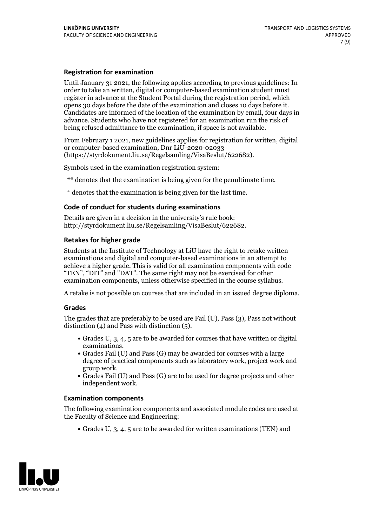#### **Registration for examination**

Until January 31 2021, the following applies according to previous guidelines: In order to take an written, digital or computer-based examination student must register in advance at the Student Portal during the registration period, which Candidates are informed of the location of the examination by email, four days in advance. Students who have not registered for an examination run the risk of being refused admittance to the examination, if space is not available.

From February 1 2021, new guidelines applies for registration for written, digital or computer-based examination, Dnr LiU-2020-02033 (https://styrdokument.liu.se/Regelsamling/VisaBeslut/622682).

Symbols used in the examination registration system:

\*\* denotes that the examination is being given for the penultimate time.

\* denotes that the examination is being given for the last time.

#### **Code of conduct for students during examinations**

Details are given in a decision in the university's rule book: http://styrdokument.liu.se/Regelsamling/VisaBeslut/622682.

### **Retakes for higher grade**

Students at the Institute of Technology at LiU have the right to retake written examinations and digital and computer-based examinations in an attempt to achieve a higher grade. This is valid for all examination components with code "TEN", "DIT" and "DAT". The same right may not be exercised for other examination components, unless otherwise specified in the course syllabus.

A retake is not possible on courses that are included in an issued degree diploma.

#### **Grades**

The grades that are preferably to be used are Fail (U), Pass (3), Pass not without distinction  $(4)$  and Pass with distinction  $(5)$ .

- Grades U, 3, 4, 5 are to be awarded for courses that have written or digital
- examinations.<br>• Grades Fail (U) and Pass (G) may be awarded for courses with a large degree of practical components such as laboratory work, project work and
- $\bullet$  Grades Fail (U) and Pass (G) are to be used for degree projects and other independent work.

#### **Examination components**

The following examination components and associated module codes are used at the Faculty of Science and Engineering:

Grades U, 3, 4, 5 are to be awarded for written examinations (TEN) and

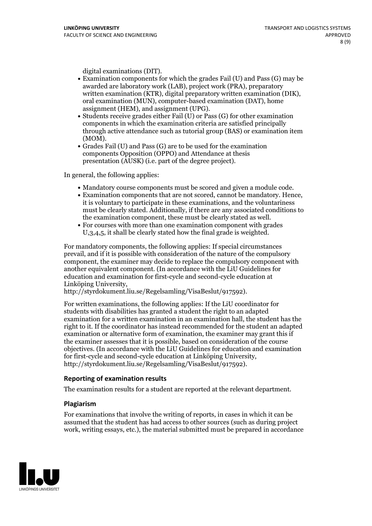- digital examinations (DIT).<br>• Examination components for which the grades Fail (U) and Pass (G) may be awarded are laboratory work (LAB), project work (PRA), preparatory written examination (KTR), digital preparatory written examination (DIK), oral examination (MUN), computer-based examination (DAT), home
- assignment (HEM), and assignment (UPG).<br>• Students receive grades either Fail (U) or Pass (G) for other examination components in which the examination criteria are satisfied principally through active attendance such as tutorial group (BAS) or examination item
- (MOM).<br>• Grades Fail (U) and Pass (G) are to be used for the examination components Opposition (OPPO) and Attendance at thesis presentation (AUSK) (i.e. part of the degree project).

In general, the following applies:

- 
- Mandatory course components must be scored and given <sup>a</sup> module code. Examination components that are not scored, cannot be mandatory. Hence, it is voluntary to participate in these examinations, and the voluntariness must be clearly stated. Additionally, if there are any associated conditions to the examination component, these must be clearly stated as well.<br>• For courses with more than one examination component with grades
- U,3,4,5, it shall be clearly stated how the final grade is weighted.

For mandatory components, the following applies: If special circumstances prevail, and if it is possible with consideration of the nature ofthe compulsory component, the examiner may decide to replace the compulsory component with another equivalent component. (In accordance with the LiU Guidelines for education and examination for first-cycle and second-cycle education at Linköping University, http://styrdokument.liu.se/Regelsamling/VisaBeslut/917592).

For written examinations, the following applies: If the LiU coordinator for students with disabilities has granted a student the right to an adapted examination for a written examination in an examination hall, the student has the right to it. If the coordinator has instead recommended for the student an adapted examination or alternative form of examination, the examiner may grant this if the examiner assesses that it is possible, based on consideration of the course objectives. (In accordance with the LiU Guidelines for education and examination for first-cycle and second-cycle education at Linköping University, http://styrdokument.liu.se/Regelsamling/VisaBeslut/917592).

#### **Reporting of examination results**

The examination results for a student are reported at the relevant department.

#### **Plagiarism**

For examinations that involve the writing of reports, in cases in which it can be assumed that the student has had access to other sources (such as during project work, writing essays, etc.), the material submitted must be prepared in accordance